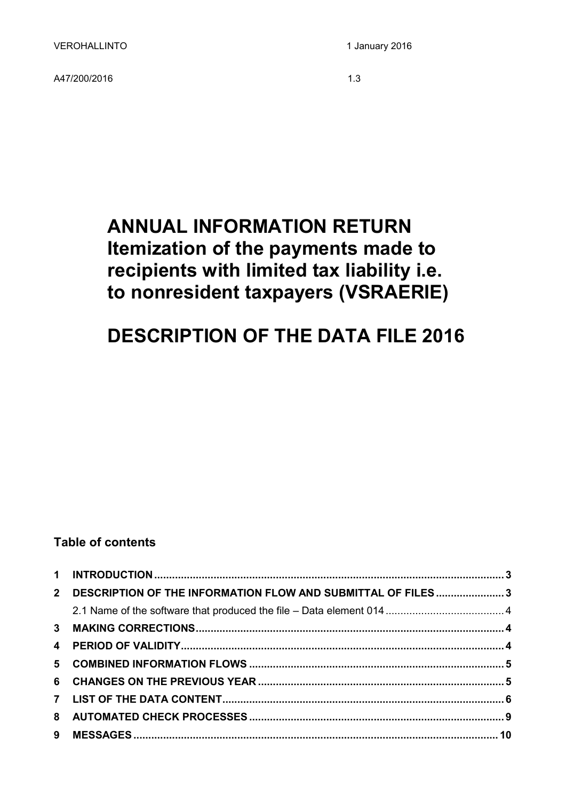A47/200/2016 1.3

# **ANNUAL INFORMATION RETURN Itemization of the payments made to recipients with limited tax liability i.e. to nonresident taxpayers (VSRAERIE)**

# **DESCRIPTION OF THE DATA FILE 2016**

# **Table of contents**

| 2 DESCRIPTION OF THE INFORMATION FLOW AND SUBMITTAL OF FILES3 |  |
|---------------------------------------------------------------|--|
|                                                               |  |
|                                                               |  |
|                                                               |  |
|                                                               |  |
|                                                               |  |
|                                                               |  |
|                                                               |  |
|                                                               |  |
|                                                               |  |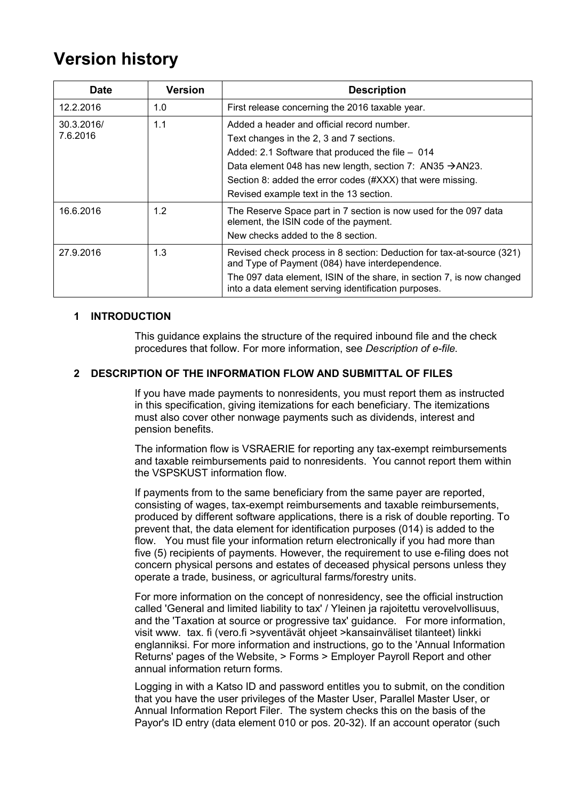# <span id="page-2-0"></span>**Version history**

| <b>Date</b>            | <b>Version</b> | <b>Description</b>                                                                                                                                                                                                                                                                                                          |
|------------------------|----------------|-----------------------------------------------------------------------------------------------------------------------------------------------------------------------------------------------------------------------------------------------------------------------------------------------------------------------------|
| 12.2.2016              | 1.0            | First release concerning the 2016 taxable year.                                                                                                                                                                                                                                                                             |
| 30.3.2016/<br>7.6.2016 | 1.1            | Added a header and official record number.<br>Text changes in the 2, 3 and 7 sections.<br>Added: 2.1 Software that produced the file - 014<br>Data element 048 has new length, section 7: AN35 $\rightarrow$ AN23.<br>Section 8: added the error codes (#XXX) that were missing.<br>Revised example text in the 13 section. |
| 16.6.2016              | 1.2            | The Reserve Space part in 7 section is now used for the 097 data<br>element, the ISIN code of the payment.<br>New checks added to the 8 section.                                                                                                                                                                            |
| 27.9.2016              | 1.3            | Revised check process in 8 section: Deduction for tax-at-source (321)<br>and Type of Payment (084) have interdependence.<br>The 097 data element, ISIN of the share, in section 7, is now changed<br>into a data element serving identification purposes.                                                                   |

## **1 INTRODUCTION**

This guidance explains the structure of the required inbound file and the check procedures that follow. For more information, see *Description of e-file.* 

# <span id="page-2-1"></span>**2 DESCRIPTION OF THE INFORMATION FLOW AND SUBMITTAL OF FILES**

If you have made payments to nonresidents, you must report them as instructed in this specification, giving itemizations for each beneficiary. The itemizations must also cover other nonwage payments such as dividends, interest and pension benefits.

The information flow is VSRAERIE for reporting any tax-exempt reimbursements and taxable reimbursements paid to nonresidents. You cannot report them within the VSPSKUST information flow.

If payments from to the same beneficiary from the same payer are reported, consisting of wages, tax-exempt reimbursements and taxable reimbursements, produced by different software applications, there is a risk of double reporting. To prevent that, the data element for identification purposes (014) is added to the flow. You must file your information return electronically if you had more than five (5) recipients of payments. However, the requirement to use e-filing does not concern physical persons and estates of deceased physical persons unless they operate a trade, business, or agricultural farms/forestry units.

For more information on the concept of nonresidency, see the official instruction called 'General and limited liability to tax' / Yleinen ja rajoitettu verovelvollisuus, and the 'Taxation at source or progressive tax' guidance. For more information, visit www. tax. fi (vero.fi >syventävät ohjeet >kansainväliset tilanteet) linkki englanniksi. For more information and instructions, go to the 'Annual Information Returns' pages of the Website, > Forms > Employer Payroll Report and other annual information return forms.

Logging in with a Katso ID and password entitles you to submit, on the condition that you have the user privileges of the Master User, Parallel Master User, or Annual Information Report Filer. The system checks this on the basis of the Payor's ID entry (data element 010 or pos. 20-32). If an account operator (such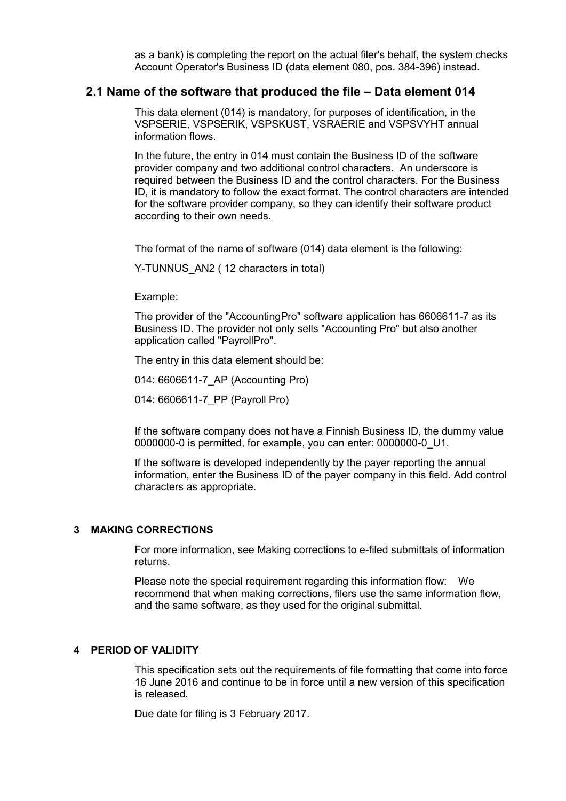as a bank) is completing the report on the actual filer's behalf, the system checks Account Operator's Business ID (data element 080, pos. 384-396) instead.

## <span id="page-3-0"></span>**2.1 Name of the software that produced the file – Data element 014**

This data element (014) is mandatory, for purposes of identification, in the VSPSERIE, VSPSERIK, VSPSKUST, VSRAERIE and VSPSVYHT annual information flows.

In the future, the entry in 014 must contain the Business ID of the software provider company and two additional control characters. An underscore is required between the Business ID and the control characters. For the Business ID, it is mandatory to follow the exact format. The control characters are intended for the software provider company, so they can identify their software product according to their own needs.

The format of the name of software (014) data element is the following:

Y-TUNNUS AN2 ( 12 characters in total)

Example:

The provider of the "AccountingPro" software application has 6606611-7 as its Business ID. The provider not only sells "Accounting Pro" but also another application called "PayrollPro".

The entry in this data element should be:

014: 6606611-7\_AP (Accounting Pro)

014: 6606611-7\_PP (Payroll Pro)

If the software company does not have a Finnish Business ID, the dummy value 0000000-0 is permitted, for example, you can enter: 0000000-0\_U1.

If the software is developed independently by the payer reporting the annual information, enter the Business ID of the payer company in this field. Add control characters as appropriate.

## <span id="page-3-1"></span>**3 MAKING CORRECTIONS**

For more information, see Making corrections to e-filed submittals of information returns.

Please note the special requirement regarding this information flow: We recommend that when making corrections, filers use the same information flow, and the same software, as they used for the original submittal.

## <span id="page-3-2"></span>**4 PERIOD OF VALIDITY**

This specification sets out the requirements of file formatting that come into force 16 June 2016 and continue to be in force until a new version of this specification is released.

Due date for filing is 3 February 2017.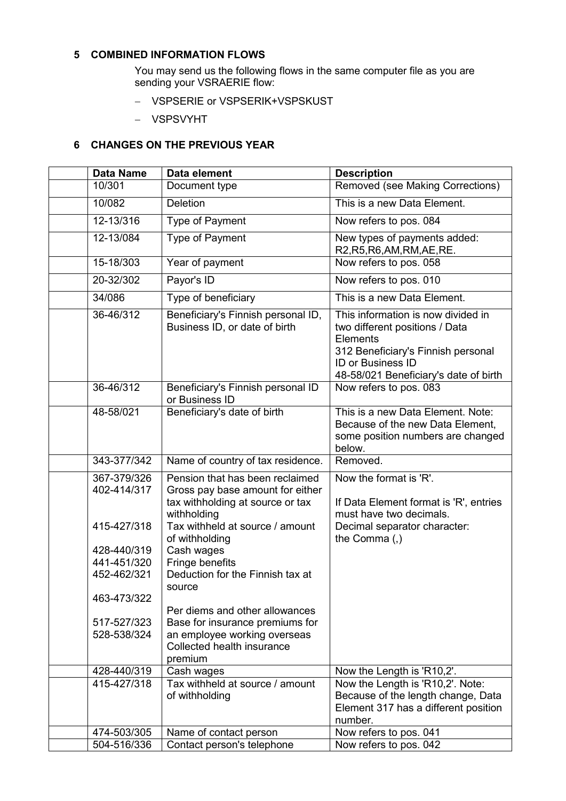# <span id="page-4-0"></span>**5 COMBINED INFORMATION FLOWS**

You may send us the following flows in the same computer file as you are sending your VSRAERIE flow:

- VSPSERIE or VSPSERIK+VSPSKUST
- VSPSVYHT

# <span id="page-4-1"></span>**6 CHANGES ON THE PREVIOUS YEAR**

| <b>Data Name</b>           | Data element                                                                                                           | <b>Description</b>                                                                                                                                                                          |
|----------------------------|------------------------------------------------------------------------------------------------------------------------|---------------------------------------------------------------------------------------------------------------------------------------------------------------------------------------------|
| 10/301                     | Document type                                                                                                          | Removed (see Making Corrections)                                                                                                                                                            |
| 10/082                     | <b>Deletion</b>                                                                                                        | This is a new Data Element.                                                                                                                                                                 |
| 12-13/316                  | Type of Payment                                                                                                        | Now refers to pos. 084                                                                                                                                                                      |
| 12-13/084                  | <b>Type of Payment</b>                                                                                                 | New types of payments added:<br>R2, R5, R6, AM, RM, AE, RE.                                                                                                                                 |
| 15-18/303                  | Year of payment                                                                                                        | Now refers to pos. 058                                                                                                                                                                      |
| 20-32/302                  | Payor's ID                                                                                                             | Now refers to pos. 010                                                                                                                                                                      |
| 34/086                     | Type of beneficiary                                                                                                    | This is a new Data Element.                                                                                                                                                                 |
| 36-46/312                  | Beneficiary's Finnish personal ID,<br>Business ID, or date of birth                                                    | This information is now divided in<br>two different positions / Data<br>Elements<br>312 Beneficiary's Finnish personal<br><b>ID or Business ID</b><br>48-58/021 Beneficiary's date of birth |
| 36-46/312                  | Beneficiary's Finnish personal ID<br>or Business ID                                                                    | Now refers to pos. 083                                                                                                                                                                      |
| 48-58/021                  | Beneficiary's date of birth                                                                                            | This is a new Data Element. Note:<br>Because of the new Data Element,<br>some position numbers are changed<br>below.                                                                        |
| 343-377/342                | Name of country of tax residence.                                                                                      | Removed.                                                                                                                                                                                    |
| 367-379/326<br>402-414/317 | Pension that has been reclaimed<br>Gross pay base amount for either<br>tax withholding at source or tax<br>withholding | Now the format is 'R'.<br>If Data Element format is 'R', entries<br>must have two decimals.                                                                                                 |
| 415-427/318                | Tax withheld at source / amount<br>of withholding                                                                      | Decimal separator character:<br>the Comma (,)                                                                                                                                               |
| 428-440/319                | Cash wages                                                                                                             |                                                                                                                                                                                             |
| 441-451/320                | Fringe benefits                                                                                                        |                                                                                                                                                                                             |
| 452-462/321                | Deduction for the Finnish tax at<br>source                                                                             |                                                                                                                                                                                             |
| 463-473/322                |                                                                                                                        |                                                                                                                                                                                             |
|                            | Per diems and other allowances                                                                                         |                                                                                                                                                                                             |
| 517-527/323                | Base for insurance premiums for                                                                                        |                                                                                                                                                                                             |
| 528-538/324                | an employee working overseas<br>Collected health insurance<br>premium                                                  |                                                                                                                                                                                             |
| 428-440/319                | Cash wages                                                                                                             | Now the Length is 'R10,2'.                                                                                                                                                                  |
| 415-427/318                | Tax withheld at source / amount<br>of withholding                                                                      | Now the Length is 'R10,2'. Note:<br>Because of the length change, Data<br>Element 317 has a different position<br>number.                                                                   |
| 474-503/305                | Name of contact person                                                                                                 | Now refers to pos. 041                                                                                                                                                                      |
| 504-516/336                | Contact person's telephone                                                                                             | Now refers to pos. 042                                                                                                                                                                      |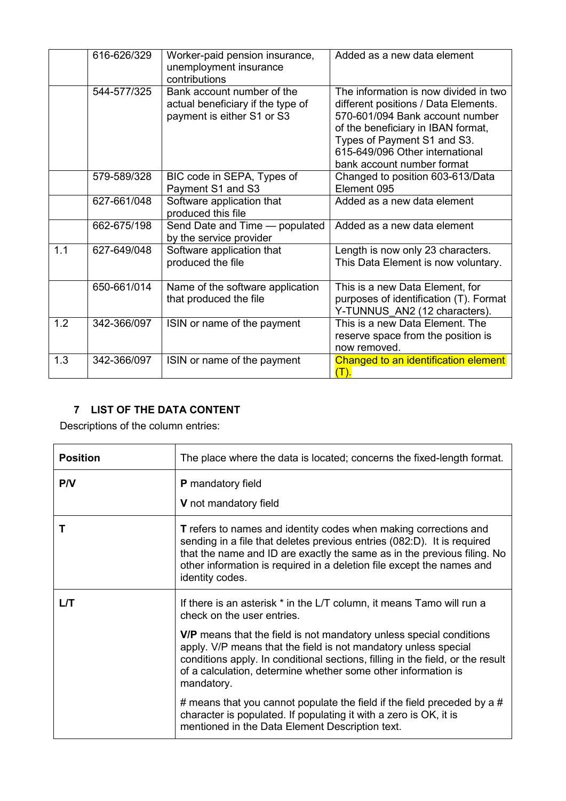|     | 616-626/329 | Worker-paid pension insurance,<br>unemployment insurance<br>contributions                     | Added as a new data element                                                                                                                                                                                                                            |
|-----|-------------|-----------------------------------------------------------------------------------------------|--------------------------------------------------------------------------------------------------------------------------------------------------------------------------------------------------------------------------------------------------------|
|     | 544-577/325 | Bank account number of the<br>actual beneficiary if the type of<br>payment is either S1 or S3 | The information is now divided in two<br>different positions / Data Elements.<br>570-601/094 Bank account number<br>of the beneficiary in IBAN format,<br>Types of Payment S1 and S3.<br>615-649/096 Other international<br>bank account number format |
|     | 579-589/328 | BIC code in SEPA, Types of<br>Payment S1 and S3                                               | Changed to position 603-613/Data<br>Element 095                                                                                                                                                                                                        |
|     | 627-661/048 | Software application that<br>produced this file                                               | Added as a new data element                                                                                                                                                                                                                            |
|     | 662-675/198 | Send Date and Time - populated<br>by the service provider                                     | Added as a new data element                                                                                                                                                                                                                            |
| 1.1 | 627-649/048 | Software application that<br>produced the file                                                | Length is now only 23 characters.<br>This Data Element is now voluntary.                                                                                                                                                                               |
|     | 650-661/014 | Name of the software application<br>that produced the file                                    | This is a new Data Element, for<br>purposes of identification (T). Format<br>Y-TUNNUS AN2 (12 characters).                                                                                                                                             |
| 1.2 | 342-366/097 | ISIN or name of the payment                                                                   | This is a new Data Element. The<br>reserve space from the position is<br>now removed.                                                                                                                                                                  |
| 1.3 | 342-366/097 | ISIN or name of the payment                                                                   | Changed to an identification element<br>(T).                                                                                                                                                                                                           |

# <span id="page-5-0"></span>**7 LIST OF THE DATA CONTENT**

Descriptions of the column entries:

| <b>Position</b> | The place where the data is located; concerns the fixed-length format.                                                                                                                                                                                                                                                                                                                                                |
|-----------------|-----------------------------------------------------------------------------------------------------------------------------------------------------------------------------------------------------------------------------------------------------------------------------------------------------------------------------------------------------------------------------------------------------------------------|
| P/V             | P mandatory field                                                                                                                                                                                                                                                                                                                                                                                                     |
|                 | V not mandatory field                                                                                                                                                                                                                                                                                                                                                                                                 |
|                 | <b>T</b> refers to names and identity codes when making corrections and<br>sending in a file that deletes previous entries (082:D). It is required<br>that the name and ID are exactly the same as in the previous filing. No<br>other information is required in a deletion file except the names and<br>identity codes.                                                                                             |
| L/T             | If there is an asterisk * in the L/T column, it means Tamo will run a<br>check on the user entries.<br><b>V/P</b> means that the field is not mandatory unless special conditions<br>apply. V/P means that the field is not mandatory unless special<br>conditions apply. In conditional sections, filling in the field, or the result<br>of a calculation, determine whether some other information is<br>mandatory. |
|                 | # means that you cannot populate the field if the field preceded by a #<br>character is populated. If populating it with a zero is OK, it is<br>mentioned in the Data Element Description text.                                                                                                                                                                                                                       |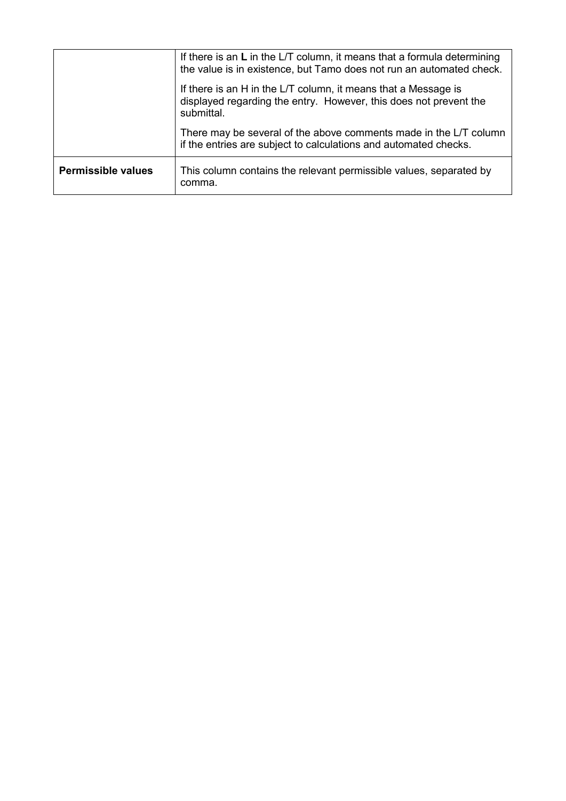|                           | If there is an $L$ in the L/T column, it means that a formula determining<br>the value is in existence, but Tamo does not run an automated check. |
|---------------------------|---------------------------------------------------------------------------------------------------------------------------------------------------|
|                           | If there is an H in the L/T column, it means that a Message is<br>displayed regarding the entry. However, this does not prevent the<br>submittal. |
|                           | There may be several of the above comments made in the L/T column<br>if the entries are subject to calculations and automated checks.             |
| <b>Permissible values</b> | This column contains the relevant permissible values, separated by<br>comma.                                                                      |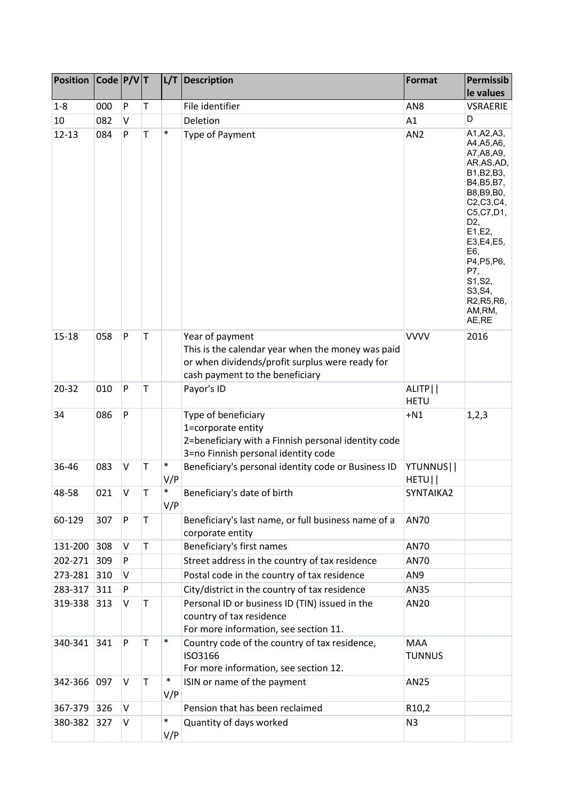| <b>Position</b> | Code $P/V$ T |         |              | L/T           | <b>Description</b>                                                                                                                                         | <b>Format</b>               | Permissib                                                                                                                                                                                                                                                         |
|-----------------|--------------|---------|--------------|---------------|------------------------------------------------------------------------------------------------------------------------------------------------------------|-----------------------------|-------------------------------------------------------------------------------------------------------------------------------------------------------------------------------------------------------------------------------------------------------------------|
|                 |              |         |              |               |                                                                                                                                                            |                             | le values                                                                                                                                                                                                                                                         |
| $1 - 8$         | 000          | P       | $\mathsf T$  |               | File identifier                                                                                                                                            | AN <sub>8</sub>             | <b>VSRAERIE</b>                                                                                                                                                                                                                                                   |
| 10              | 082          | $\vee$  |              |               | Deletion                                                                                                                                                   | A1                          | D                                                                                                                                                                                                                                                                 |
| $12 - 13$       | 084          | P       | $\mathsf T$  | $\ast$        | Type of Payment                                                                                                                                            | AN <sub>2</sub>             | A1, A2, A3,<br>A4, A5, A6,<br>A7, A8, A9,<br>AR, AS, AD,<br>B1, B2, B3,<br>B4, B5, B7,<br>B8, B9, B0,<br>C2, C3, C4,<br>C5, C7, D1,<br>D <sub>2</sub><br>E1,E2,<br>E3,E4,E5,<br>E6,<br>P4, P5, P6,<br>P7,<br>S1, S2,<br>S3, S4,<br>R2, R5, R6,<br>AM,RM,<br>AE,RE |
| $15 - 18$       | 058          | P       | T            |               | Year of payment<br>This is the calendar year when the money was paid<br>or when dividends/profit surplus were ready for<br>cash payment to the beneficiary | <b>VVVV</b>                 | 2016                                                                                                                                                                                                                                                              |
| 20-32           | 010          | P       | T            |               | Payor's ID                                                                                                                                                 | ALITP  <br><b>HETU</b>      |                                                                                                                                                                                                                                                                   |
| 34              | 086          | P       |              |               | Type of beneficiary<br>1=corporate entity<br>2=beneficiary with a Finnish personal identity code<br>3=no Finnish personal identity code                    | $+N1$                       | 1,2,3                                                                                                                                                                                                                                                             |
| 36-46           | 083          | $\sf V$ | T            | $\ast$<br>V/P | Beneficiary's personal identity code or Business ID                                                                                                        | YTUNNUS  <br>HETU           |                                                                                                                                                                                                                                                                   |
| 48-58           | 021          | V       | T            | $\ast$<br>V/P | Beneficiary's date of birth                                                                                                                                | SYNTAIKA2                   |                                                                                                                                                                                                                                                                   |
| 60-129          | 307          | P       | $\top$       |               | Beneficiary's last name, or full business name of a<br>corporate entity                                                                                    | AN70                        |                                                                                                                                                                                                                                                                   |
| 131-200 308     |              | $\vee$  | $\mathsf{T}$ |               | Beneficiary's first names                                                                                                                                  | <b>AN70</b>                 |                                                                                                                                                                                                                                                                   |
| 202-271         | 309          | P       |              |               | Street address in the country of tax residence                                                                                                             | <b>AN70</b>                 |                                                                                                                                                                                                                                                                   |
| 273-281 310     |              | $\vee$  |              |               | Postal code in the country of tax residence                                                                                                                | AN9                         |                                                                                                                                                                                                                                                                   |
| 283-317         | 311          | P       |              |               | City/district in the country of tax residence                                                                                                              | AN35                        |                                                                                                                                                                                                                                                                   |
| 319-338         | 313          | $\vee$  | $\mathsf T$  |               | Personal ID or business ID (TIN) issued in the<br>country of tax residence<br>For more information, see section 11.                                        | AN20                        |                                                                                                                                                                                                                                                                   |
| 340-341         | 341          | P       | $\mathsf T$  | $\ast$        | Country code of the country of tax residence,<br>ISO3166<br>For more information, see section 12.                                                          | <b>MAA</b><br><b>TUNNUS</b> |                                                                                                                                                                                                                                                                   |
| 342-366 097     |              | $\vee$  | $\mathsf T$  | $\ast$<br>V/P | ISIN or name of the payment                                                                                                                                | <b>AN25</b>                 |                                                                                                                                                                                                                                                                   |
| 367-379         | 326          | V       |              |               | Pension that has been reclaimed                                                                                                                            | R <sub>10</sub> ,2          |                                                                                                                                                                                                                                                                   |
| 380-382         | 327          | $\vee$  |              | $\ast$        | Quantity of days worked                                                                                                                                    | N <sub>3</sub>              |                                                                                                                                                                                                                                                                   |
|                 |              |         |              | V/P           |                                                                                                                                                            |                             |                                                                                                                                                                                                                                                                   |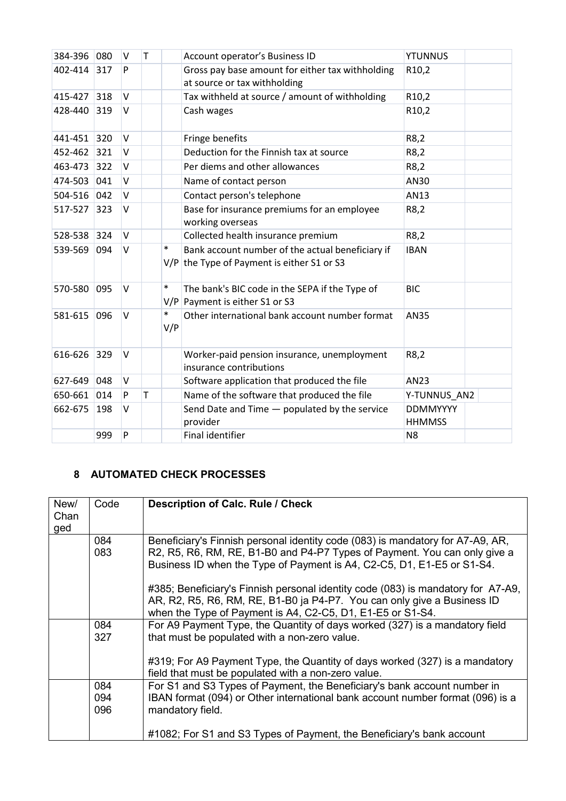| 384-396     | 080 | V      | T |               | Account operator's Business ID                                                                   | <b>YTUNNUS</b>                   |
|-------------|-----|--------|---|---------------|--------------------------------------------------------------------------------------------------|----------------------------------|
| 402-414     | 317 | P      |   |               | Gross pay base amount for either tax withholding<br>at source or tax withholding                 | R <sub>10</sub> ,2               |
| 415-427 318 |     | $\vee$ |   |               | Tax withheld at source / amount of withholding                                                   | R <sub>10</sub> ,2               |
| 428-440     | 319 | $\vee$ |   |               | Cash wages                                                                                       | R10,2                            |
| 441-451     | 320 | $\vee$ |   |               | Fringe benefits                                                                                  | R8,2                             |
| 452-462 321 |     | $\vee$ |   |               | Deduction for the Finnish tax at source                                                          | R8,2                             |
| 463-473     | 322 | $\vee$ |   |               | Per diems and other allowances                                                                   | R8,2                             |
| 474-503     | 041 | $\vee$ |   |               | Name of contact person                                                                           | AN30                             |
| 504-516 042 |     | $\vee$ |   |               | Contact person's telephone                                                                       | AN13                             |
| 517-527     | 323 | $\vee$ |   |               | Base for insurance premiums for an employee<br>working overseas                                  | R8,2                             |
| 528-538     | 324 | $\vee$ |   |               | Collected health insurance premium                                                               | R8,2                             |
| 539-569     | 094 | V      |   | $\ast$        | Bank account number of the actual beneficiary if<br>$V/P$ the Type of Payment is either S1 or S3 | <b>IBAN</b>                      |
| 570-580     | 095 | $\vee$ |   | $\ast$        | The bank's BIC code in the SEPA if the Type of<br>$V/P$ Payment is either S1 or S3               | <b>BIC</b>                       |
| 581-615 096 |     | V      |   | $\ast$<br>V/P | Other international bank account number format                                                   | <b>AN35</b>                      |
| 616-626     | 329 | $\vee$ |   |               | Worker-paid pension insurance, unemployment<br>insurance contributions                           | R8,2                             |
| 627-649     | 048 | $\vee$ |   |               | Software application that produced the file                                                      | AN23                             |
| 650-661     | 014 | P      | T |               | Name of the software that produced the file                                                      | Y-TUNNUS_AN2                     |
| 662-675     | 198 | $\vee$ |   |               | Send Date and Time - populated by the service<br>provider                                        | <b>DDMMYYYY</b><br><b>HHMMSS</b> |
|             | 999 | P      |   |               | Final identifier                                                                                 | N <sub>8</sub>                   |

# <span id="page-8-0"></span>**8 AUTOMATED CHECK PROCESSES**

| New/<br>Chan<br>ged | Code              | <b>Description of Calc. Rule / Check</b>                                                                                                                                                                                              |
|---------------------|-------------------|---------------------------------------------------------------------------------------------------------------------------------------------------------------------------------------------------------------------------------------|
|                     | 084<br>083        | Beneficiary's Finnish personal identity code (083) is mandatory for A7-A9, AR,<br>R2, R5, R6, RM, RE, B1-B0 and P4-P7 Types of Payment. You can only give a<br>Business ID when the Type of Payment is A4, C2-C5, D1, E1-E5 or S1-S4. |
|                     |                   | #385; Beneficiary's Finnish personal identity code (083) is mandatory for A7-A9,<br>AR, R2, R5, R6, RM, RE, B1-B0 ja P4-P7. You can only give a Business ID<br>when the Type of Payment is A4, C2-C5, D1, E1-E5 or S1-S4.             |
|                     | 084<br>327        | For A9 Payment Type, the Quantity of days worked (327) is a mandatory field<br>that must be populated with a non-zero value.                                                                                                          |
|                     |                   | #319; For A9 Payment Type, the Quantity of days worked (327) is a mandatory<br>field that must be populated with a non-zero value.                                                                                                    |
|                     | 084<br>094<br>096 | For S1 and S3 Types of Payment, the Beneficiary's bank account number in<br>IBAN format (094) or Other international bank account number format (096) is a<br>mandatory field.                                                        |
|                     |                   | #1082; For S1 and S3 Types of Payment, the Beneficiary's bank account                                                                                                                                                                 |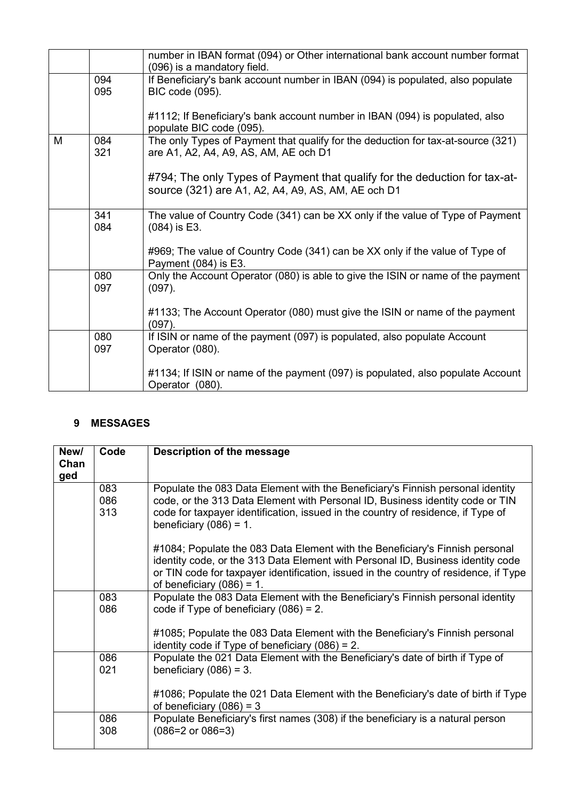|   |            | number in IBAN format (094) or Other international bank account number format<br>(096) is a mandatory field.                     |
|---|------------|----------------------------------------------------------------------------------------------------------------------------------|
|   | 094<br>095 | If Beneficiary's bank account number in IBAN (094) is populated, also populate<br>BIC code (095).                                |
|   |            | #1112; If Beneficiary's bank account number in IBAN (094) is populated, also<br>populate BIC code (095).                         |
| M | 084<br>321 | The only Types of Payment that qualify for the deduction for tax-at-source (321)<br>are A1, A2, A4, A9, AS, AM, AE och D1        |
|   |            | #794; The only Types of Payment that qualify for the deduction for tax-at-<br>source (321) are A1, A2, A4, A9, AS, AM, AE och D1 |
|   | 341<br>084 | The value of Country Code (341) can be XX only if the value of Type of Payment<br>$(084)$ is E3.                                 |
|   |            | #969; The value of Country Code (341) can be XX only if the value of Type of<br>Payment (084) is E3.                             |
|   | 080<br>097 | Only the Account Operator (080) is able to give the ISIN or name of the payment<br>$(097)$ .                                     |
|   |            | #1133; The Account Operator (080) must give the ISIN or name of the payment<br>$(097)$ .                                         |
|   | 080<br>097 | If ISIN or name of the payment (097) is populated, also populate Account<br>Operator (080).                                      |
|   |            | #1134; If ISIN or name of the payment (097) is populated, also populate Account<br>Operator (080).                               |

# <span id="page-9-0"></span>**9 MESSAGES**

| New/<br>Chan | Code              | Description of the message                                                                                                                                                                                                                                                              |
|--------------|-------------------|-----------------------------------------------------------------------------------------------------------------------------------------------------------------------------------------------------------------------------------------------------------------------------------------|
| ged          |                   |                                                                                                                                                                                                                                                                                         |
|              | 083<br>086<br>313 | Populate the 083 Data Element with the Beneficiary's Finnish personal identity<br>code, or the 313 Data Element with Personal ID, Business identity code or TIN<br>code for taxpayer identification, issued in the country of residence, if Type of<br>beneficiary $(086) = 1$ .        |
|              |                   | #1084; Populate the 083 Data Element with the Beneficiary's Finnish personal<br>identity code, or the 313 Data Element with Personal ID, Business identity code<br>or TIN code for taxpayer identification, issued in the country of residence, if Type<br>of beneficiary $(086) = 1$ . |
|              | 083<br>086        | Populate the 083 Data Element with the Beneficiary's Finnish personal identity<br>code if Type of beneficiary $(086) = 2$ .                                                                                                                                                             |
|              |                   | #1085; Populate the 083 Data Element with the Beneficiary's Finnish personal<br>identity code if Type of beneficiary $(086) = 2$ .                                                                                                                                                      |
|              | 086<br>021        | Populate the 021 Data Element with the Beneficiary's date of birth if Type of<br>beneficiary $(086) = 3$ .                                                                                                                                                                              |
|              |                   | #1086; Populate the 021 Data Element with the Beneficiary's date of birth if Type<br>of beneficiary $(086) = 3$                                                                                                                                                                         |
|              | 086<br>308        | Populate Beneficiary's first names (308) if the beneficiary is a natural person<br>$(086=2 \text{ or } 086=3)$                                                                                                                                                                          |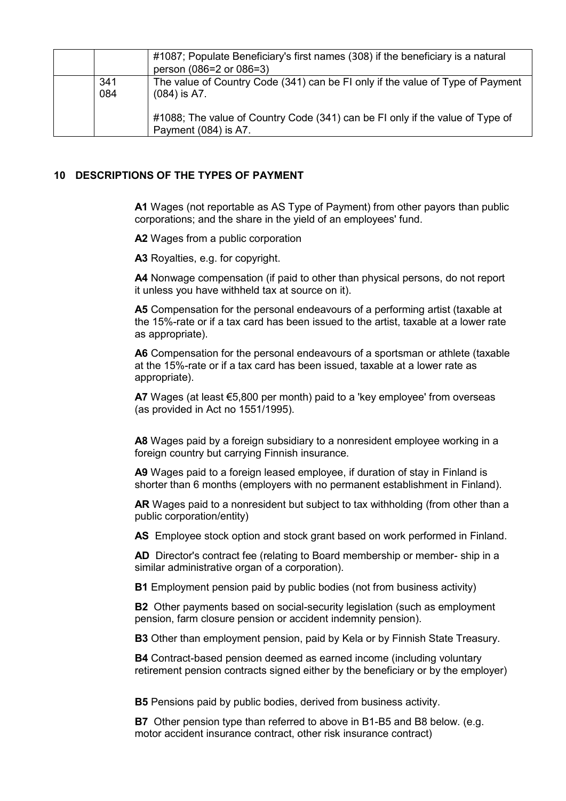|            | #1087; Populate Beneficiary's first names (308) if the beneficiary is a natural<br>person (086=2 or 086=3) |
|------------|------------------------------------------------------------------------------------------------------------|
| 341<br>084 | The value of Country Code (341) can be FI only if the value of Type of Payment<br>$(084)$ is A7.           |
|            | #1088; The value of Country Code (341) can be FI only if the value of Type of<br>Payment (084) is A7.      |

## <span id="page-10-0"></span>**10 DESCRIPTIONS OF THE TYPES OF PAYMENT**

**A1** Wages (not reportable as AS Type of Payment) from other payors than public corporations; and the share in the yield of an employees' fund.

**A2** Wages from a public corporation

**A3** Royalties, e.g. for copyright.

**A4** Nonwage compensation (if paid to other than physical persons, do not report it unless you have withheld tax at source on it).

**A5** Compensation for the personal endeavours of a performing artist (taxable at the 15%-rate or if a tax card has been issued to the artist, taxable at a lower rate as appropriate).

**A6** Compensation for the personal endeavours of a sportsman or athlete (taxable at the 15%-rate or if a tax card has been issued, taxable at a lower rate as appropriate).

**A7** Wages (at least €5,800 per month) paid to a 'key employee' from overseas (as provided in Act no 1551/1995).

**A8** Wages paid by a foreign subsidiary to a nonresident employee working in a foreign country but carrying Finnish insurance.

**A9** Wages paid to a foreign leased employee, if duration of stay in Finland is shorter than 6 months (employers with no permanent establishment in Finland).

**AR** Wages paid to a nonresident but subject to tax withholding (from other than a public corporation/entity)

**AS** Employee stock option and stock grant based on work performed in Finland.

**AD** Director's contract fee (relating to Board membership or member- ship in a similar administrative organ of a corporation).

**B1** Employment pension paid by public bodies (not from business activity)

**B2** Other payments based on social-security legislation (such as employment pension, farm closure pension or accident indemnity pension).

**B3** Other than employment pension, paid by Kela or by Finnish State Treasury.

**B4** Contract-based pension deemed as earned income (including voluntary retirement pension contracts signed either by the beneficiary or by the employer)

**B5** Pensions paid by public bodies, derived from business activity.

**B7** Other pension type than referred to above in B1-B5 and B8 below. (e.g. motor accident insurance contract, other risk insurance contract)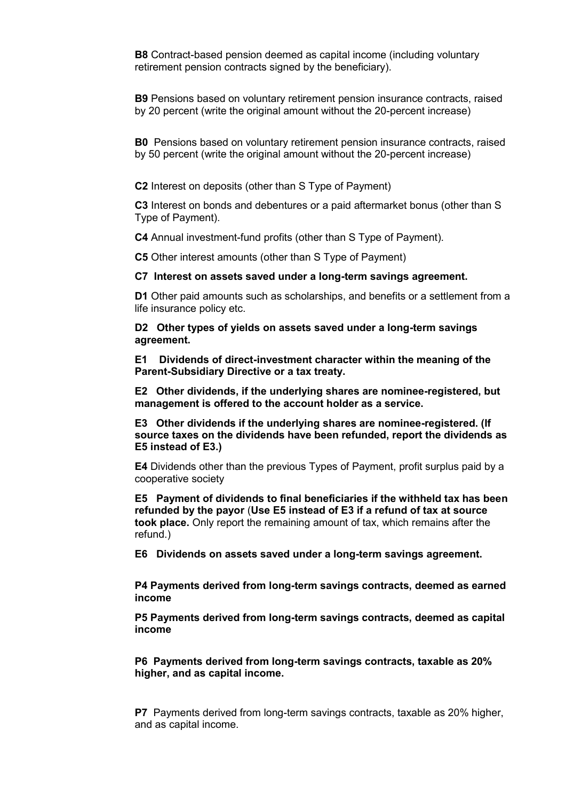**B8** Contract-based pension deemed as capital income (including voluntary retirement pension contracts signed by the beneficiary).

**B9** Pensions based on voluntary retirement pension insurance contracts, raised by 20 percent (write the original amount without the 20-percent increase)

**B0** Pensions based on voluntary retirement pension insurance contracts, raised by 50 percent (write the original amount without the 20-percent increase)

**C2** Interest on deposits (other than S Type of Payment)

**C3** Interest on bonds and debentures or a paid aftermarket bonus (other than S Type of Payment).

**C4** Annual investment-fund profits (other than S Type of Payment).

**C5** Other interest amounts (other than S Type of Payment)

**C7 Interest on assets saved under a long-term savings agreement.**

**D1** Other paid amounts such as scholarships, and benefits or a settlement from a life insurance policy etc.

**D2 Other types of yields on assets saved under a long-term savings agreement.**

**E1 Dividends of direct-investment character within the meaning of the Parent-Subsidiary Directive or a tax treaty.**

**E2 Other dividends, if the underlying shares are nominee-registered, but management is offered to the account holder as a service.**

**E3 Other dividends if the underlying shares are nominee-registered. (If source taxes on the dividends have been refunded, report the dividends as E5 instead of E3.)**

**E4** Dividends other than the previous Types of Payment, profit surplus paid by a cooperative society

**E5 Payment of dividends to final beneficiaries if the withheld tax has been refunded by the payor** (**Use E5 instead of E3 if a refund of tax at source took place.** Only report the remaining amount of tax, which remains after the refund.)

**E6 Dividends on assets saved under a long-term savings agreement.**

**P4 Payments derived from long-term savings contracts, deemed as earned income**

**P5 Payments derived from long-term savings contracts, deemed as capital income**

**P6 Payments derived from long-term savings contracts, taxable as 20% higher, and as capital income.** 

**P7** Payments derived from long-term savings contracts, taxable as 20% higher, and as capital income.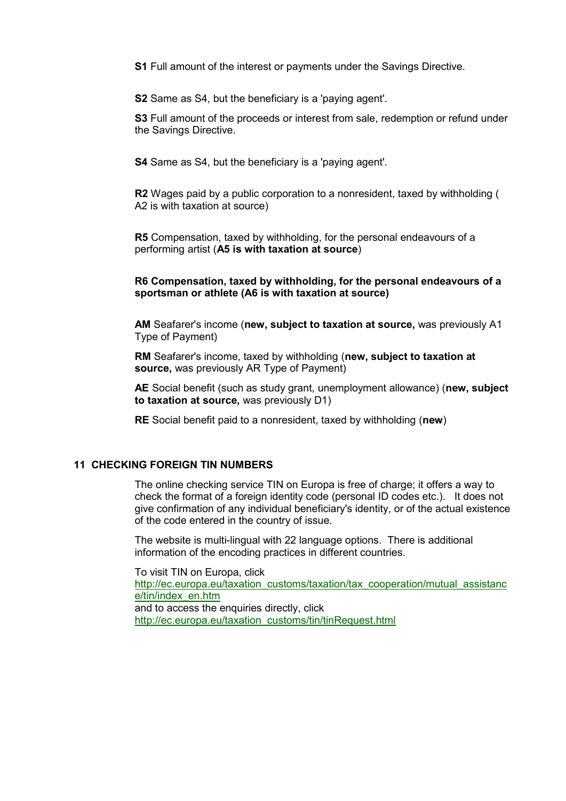**S1** Full amount of the interest or payments under the Savings Directive.

**S2** Same as S4, but the beneficiary is a 'paying agent'.

**S3** Full amount of the proceeds or interest from sale, redemption or refund under the Savings Directive.

**S4** Same as S4, but the beneficiary is a 'paying agent'.

**R2** Wages paid by a public corporation to a nonresident, taxed by withholding ( A2 is with taxation at source)

**R5** Compensation, taxed by withholding, for the personal endeavours of a performing artist (**A5 is with taxation at source**)

#### **R6 Compensation, taxed by withholding, for the personal endeavours of a sportsman or athlete (A6 is with taxation at source)**

**AM** Seafarer's income (**new, subject to taxation at source,** was previously A1 Type of Payment)

**RM** Seafarer's income, taxed by withholding (**new, subject to taxation at source,** was previously AR Type of Payment)

**AE** Social benefit (such as study grant, unemployment allowance) (**new, subject to taxation at source,** was previously D1)

**RE** Social benefit paid to a nonresident, taxed by withholding (**new**)

#### <span id="page-12-0"></span>**11 CHECKING FOREIGN TIN NUMBERS**

The online checking service TIN on Europa is free of charge; it offers a way to check the format of a foreign identity code (personal ID codes etc.). It does not give confirmation of any individual beneficiary's identity, or of the actual existence of the code entered in the country of issue.

The website is multi-lingual with 22 language options. There is additional information of the encoding practices in different countries.

To visit TIN on Europa, click http://ec.europa.eu/taxation\_customs/taxation/tax\_cooperation/mutual\_assistanc e/tin/index\_en.htm and to access the enquiries directly, click http://ec.europa.eu/taxation\_customs/tin/tinRequest.html